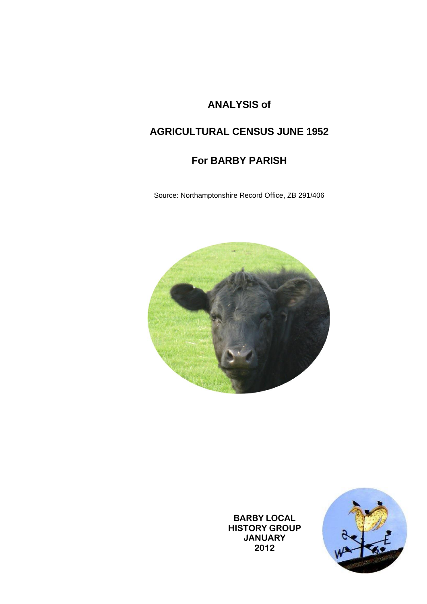## **ANALYSIS of**

## **AGRICULTURAL CENSUS JUNE 1952**

## **For BARBY PARISH**

Source: Northamptonshire Record Office, ZB 291/406



**BARBY LOCAL HISTORY GROUP JANUARY 2012**

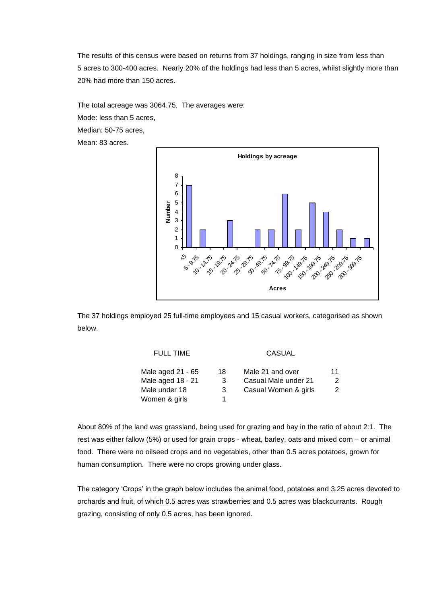The results of this census were based on returns from 37 holdings, ranging in size from less than 5 acres to 300-400 acres. Nearly 20% of the holdings had less than 5 acres, whilst slightly more than 20% had more than 150 acres.

The total acreage was 3064.75. The averages were:

Mode: less than 5 acres,

Median: 50-75 acres,

Mean: 83 acres.



The 37 holdings employed 25 full-time employees and 15 casual workers, categorised as shown below.

| Male 21 and over<br>Male aged 21 - 65<br>18    | 11 |
|------------------------------------------------|----|
| Male aged 18 - 21<br>Casual Male under 21<br>3 | 2  |
| Male under 18<br>Casual Women & girls<br>3     | 2  |
| Women & girls                                  |    |

About 80% of the land was grassland, being used for grazing and hay in the ratio of about 2:1. The rest was either fallow (5%) or used for grain crops - wheat, barley, oats and mixed corn – or animal food. There were no oilseed crops and no vegetables, other than 0.5 acres potatoes, grown for human consumption. There were no crops growing under glass.

The category 'Crops' in the graph below includes the animal food, potatoes and 3.25 acres devoted to orchards and fruit, of which 0.5 acres was strawberries and 0.5 acres was blackcurrants. Rough grazing, consisting of only 0.5 acres, has been ignored.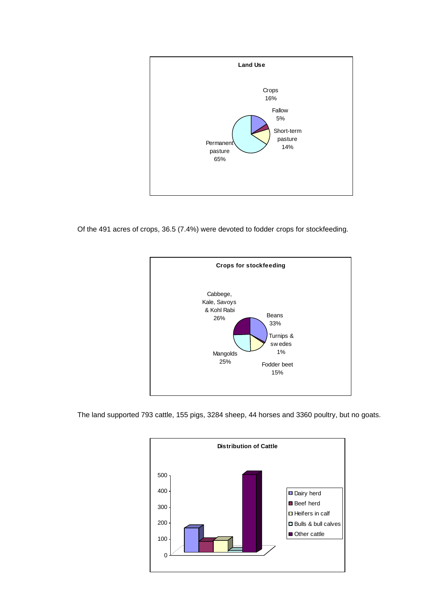

Of the 491 acres of crops, 36.5 (7.4%) were devoted to fodder crops for stockfeeding.



The land supported 793 cattle, 155 pigs, 3284 sheep, 44 horses and 3360 poultry, but no goats.

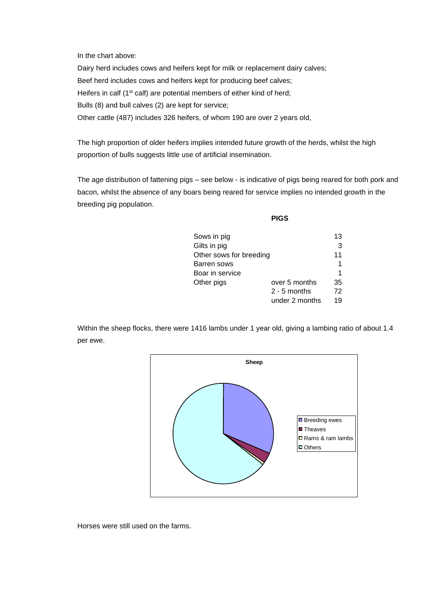In the chart above:

Dairy herd includes cows and heifers kept for milk or replacement dairy calves; Beef herd includes cows and heifers kept for producing beef calves; Heifers in calf (1<sup>st</sup> calf) are potential members of either kind of herd; Bulls (8) and bull calves (2) are kept for service; Other cattle (487) includes 326 heifers, of whom 190 are over 2 years old,

The high proportion of older heifers implies intended future growth of the herds, whilst the high proportion of bulls suggests little use of artificial insemination.

The age distribution of fattening pigs – see below - is indicative of pigs being reared for both pork and bacon, whilst the absence of any boars being reared for service implies no intended growth in the breeding pig population.

**PIGS**

| Sows in pig             |                | 13 |
|-------------------------|----------------|----|
| Gilts in pig            |                | 3  |
| Other sows for breeding |                | 11 |
| Barren sows             |                | 1  |
| Boar in service         |                | 1  |
| Other pigs              | over 5 months  | 35 |
|                         | $2 - 5$ months | 72 |
|                         | under 2 months | 19 |

Within the sheep flocks, there were 1416 lambs under 1 year old, giving a lambing ratio of about 1.4 per ewe.



Horses were still used on the farms.